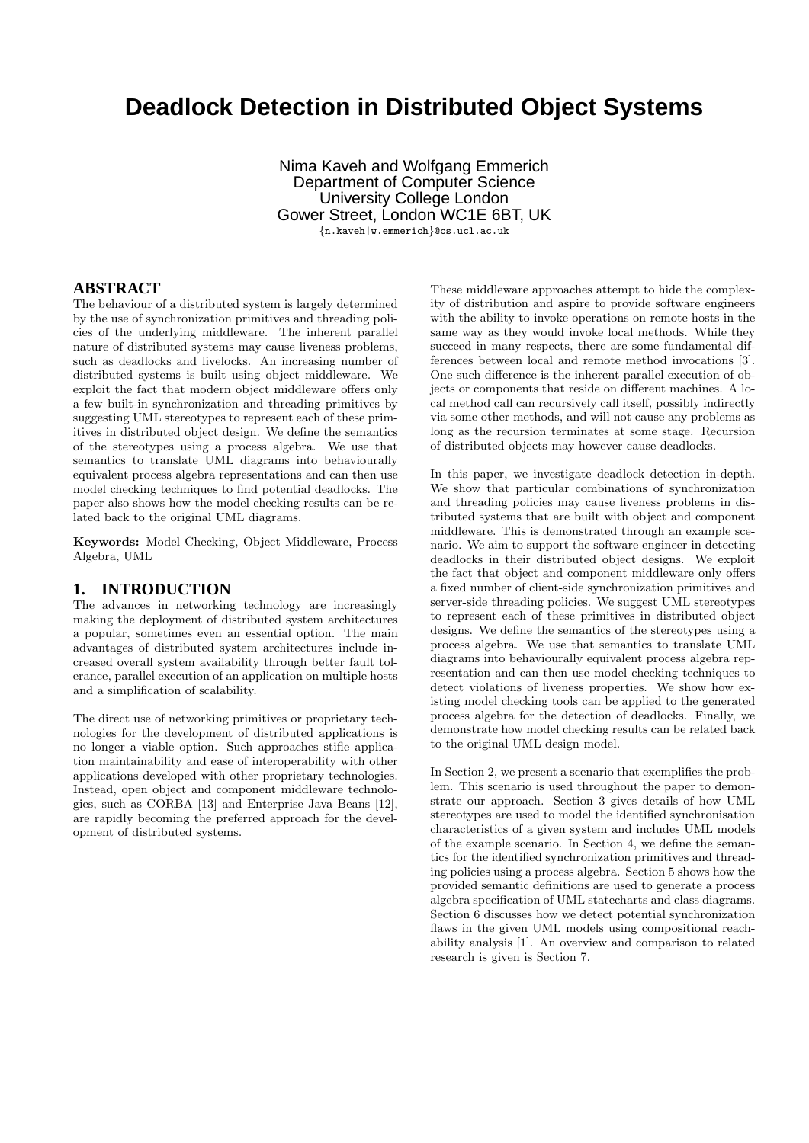# **Deadlock Detection in Distributed Object Systems**

Nima Kaveh and Wolfgang Emmerich Department of Computer Science University College London Gower Street, London WC1E 6BT, UK

{n.kaveh|w.emmerich}@cs.ucl.ac.uk

# **ABSTRACT**

The behaviour of a distributed system is largely determined by the use of synchronization primitives and threading policies of the underlying middleware. The inherent parallel nature of distributed systems may cause liveness problems, such as deadlocks and livelocks. An increasing number of distributed systems is built using object middleware. We exploit the fact that modern object middleware offers only a few built-in synchronization and threading primitives by suggesting UML stereotypes to represent each of these primitives in distributed object design. We define the semantics of the stereotypes using a process algebra. We use that semantics to translate UML diagrams into behaviourally equivalent process algebra representations and can then use model checking techniques to find potential deadlocks. The paper also shows how the model checking results can be related back to the original UML diagrams.

Keywords: Model Checking, Object Middleware, Process Algebra, UML

## **1. INTRODUCTION**

The advances in networking technology are increasingly making the deployment of distributed system architectures a popular, sometimes even an essential option. The main advantages of distributed system architectures include increased overall system availability through better fault tolerance, parallel execution of an application on multiple hosts and a simplification of scalability.

The direct use of networking primitives or proprietary technologies for the development of distributed applications is no longer a viable option. Such approaches stifle application maintainability and ease of interoperability with other applications developed with other proprietary technologies. Instead, open object and component middleware technologies, such as CORBA [13] and Enterprise Java Beans [12], are rapidly becoming the preferred approach for the development of distributed systems.

These middleware approaches attempt to hide the complexity of distribution and aspire to provide software engineers with the ability to invoke operations on remote hosts in the same way as they would invoke local methods. While they succeed in many respects, there are some fundamental differences between local and remote method invocations [3]. One such difference is the inherent parallel execution of objects or components that reside on different machines. A local method call can recursively call itself, possibly indirectly via some other methods, and will not cause any problems as long as the recursion terminates at some stage. Recursion of distributed objects may however cause deadlocks.

In this paper, we investigate deadlock detection in-depth. We show that particular combinations of synchronization and threading policies may cause liveness problems in distributed systems that are built with object and component middleware. This is demonstrated through an example scenario. We aim to support the software engineer in detecting deadlocks in their distributed object designs. We exploit the fact that object and component middleware only offers a fixed number of client-side synchronization primitives and server-side threading policies. We suggest UML stereotypes to represent each of these primitives in distributed object designs. We define the semantics of the stereotypes using a process algebra. We use that semantics to translate UML diagrams into behaviourally equivalent process algebra representation and can then use model checking techniques to detect violations of liveness properties. We show how existing model checking tools can be applied to the generated process algebra for the detection of deadlocks. Finally, we demonstrate how model checking results can be related back to the original UML design model.

In Section 2, we present a scenario that exemplifies the problem. This scenario is used throughout the paper to demonstrate our approach. Section 3 gives details of how UML stereotypes are used to model the identified synchronisation characteristics of a given system and includes UML models of the example scenario. In Section 4, we define the semantics for the identified synchronization primitives and threading policies using a process algebra. Section 5 shows how the provided semantic definitions are used to generate a process algebra specification of UML statecharts and class diagrams. Section 6 discusses how we detect potential synchronization flaws in the given UML models using compositional reachability analysis [1]. An overview and comparison to related research is given is Section 7.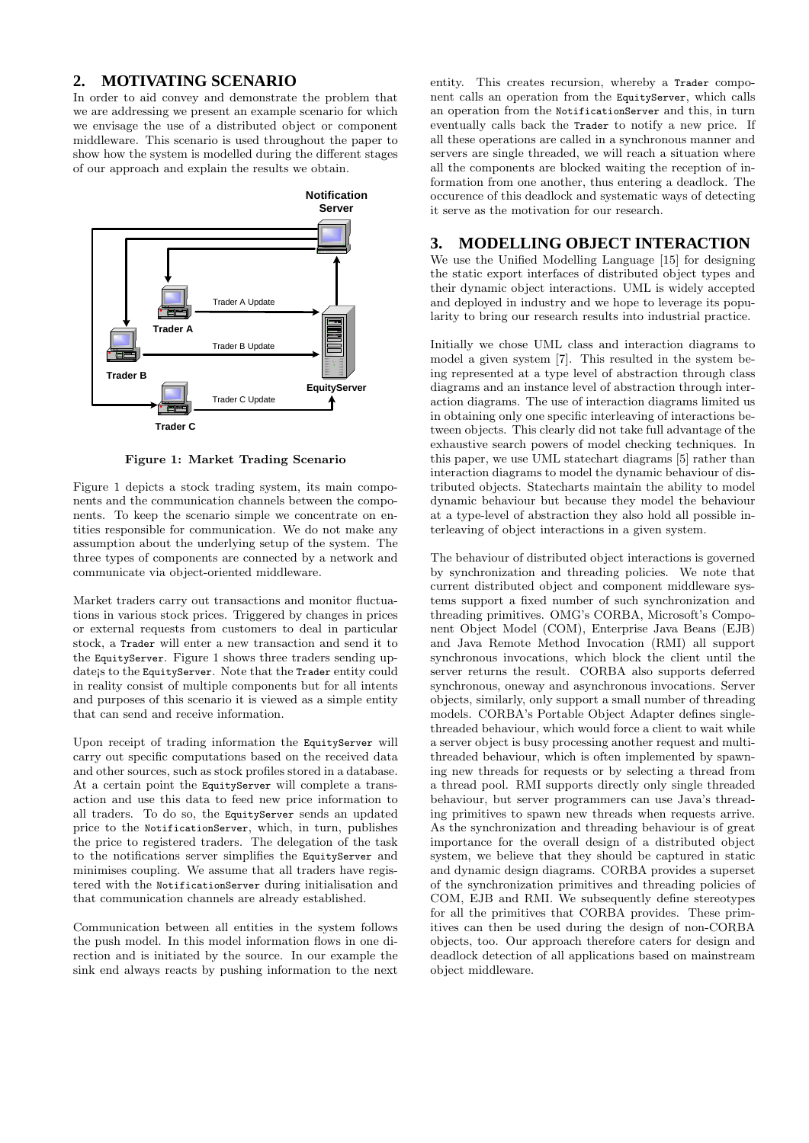# **2. MOTIVATING SCENARIO**

In order to aid convey and demonstrate the problem that we are addressing we present an example scenario for which we envisage the use of a distributed object or component middleware. This scenario is used throughout the paper to show how the system is modelled during the different stages of our approach and explain the results we obtain.



Figure 1: Market Trading Scenario

Figure 1 depicts a stock trading system, its main components and the communication channels between the components. To keep the scenario simple we concentrate on entities responsible for communication. We do not make any assumption about the underlying setup of the system. The three types of components are connected by a network and communicate via object-oriented middleware.

Market traders carry out transactions and monitor fluctuations in various stock prices. Triggered by changes in prices or external requests from customers to deal in particular stock, a Trader will enter a new transaction and send it to the EquityServer. Figure 1 shows three traders sending update;s to the EquityServer. Note that the Trader entity could in reality consist of multiple components but for all intents and purposes of this scenario it is viewed as a simple entity that can send and receive information.

Upon receipt of trading information the EquityServer will carry out specific computations based on the received data and other sources, such as stock profiles stored in a database. At a certain point the EquityServer will complete a transaction and use this data to feed new price information to all traders. To do so, the EquityServer sends an updated price to the NotificationServer, which, in turn, publishes the price to registered traders. The delegation of the task to the notifications server simplifies the EquityServer and minimises coupling. We assume that all traders have registered with the NotificationServer during initialisation and that communication channels are already established.

Communication between all entities in the system follows the push model. In this model information flows in one direction and is initiated by the source. In our example the sink end always reacts by pushing information to the next

entity. This creates recursion, whereby a Trader component calls an operation from the EquityServer, which calls an operation from the NotificationServer and this, in turn eventually calls back the Trader to notify a new price. If all these operations are called in a synchronous manner and servers are single threaded, we will reach a situation where all the components are blocked waiting the reception of information from one another, thus entering a deadlock. The occurence of this deadlock and systematic ways of detecting it serve as the motivation for our research.

#### **3. MODELLING OBJECT INTERACTION**

We use the Unified Modelling Language [15] for designing the static export interfaces of distributed object types and their dynamic object interactions. UML is widely accepted and deployed in industry and we hope to leverage its popularity to bring our research results into industrial practice.

Initially we chose UML class and interaction diagrams to model a given system [7]. This resulted in the system being represented at a type level of abstraction through class diagrams and an instance level of abstraction through interaction diagrams. The use of interaction diagrams limited us in obtaining only one specific interleaving of interactions between objects. This clearly did not take full advantage of the exhaustive search powers of model checking techniques. In this paper, we use UML statechart diagrams [5] rather than interaction diagrams to model the dynamic behaviour of distributed objects. Statecharts maintain the ability to model dynamic behaviour but because they model the behaviour at a type-level of abstraction they also hold all possible interleaving of object interactions in a given system.

The behaviour of distributed object interactions is governed by synchronization and threading policies. We note that current distributed object and component middleware systems support a fixed number of such synchronization and threading primitives. OMG's CORBA, Microsoft's Component Object Model (COM), Enterprise Java Beans (EJB) and Java Remote Method Invocation (RMI) all support synchronous invocations, which block the client until the server returns the result. CORBA also supports deferred synchronous, oneway and asynchronous invocations. Server objects, similarly, only support a small number of threading models. CORBA's Portable Object Adapter defines singlethreaded behaviour, which would force a client to wait while a server object is busy processing another request and multithreaded behaviour, which is often implemented by spawning new threads for requests or by selecting a thread from a thread pool. RMI supports directly only single threaded behaviour, but server programmers can use Java's threading primitives to spawn new threads when requests arrive. As the synchronization and threading behaviour is of great importance for the overall design of a distributed object system, we believe that they should be captured in static and dynamic design diagrams. CORBA provides a superset of the synchronization primitives and threading policies of COM, EJB and RMI. We subsequently define stereotypes for all the primitives that CORBA provides. These primitives can then be used during the design of non-CORBA objects, too. Our approach therefore caters for design and deadlock detection of all applications based on mainstream object middleware.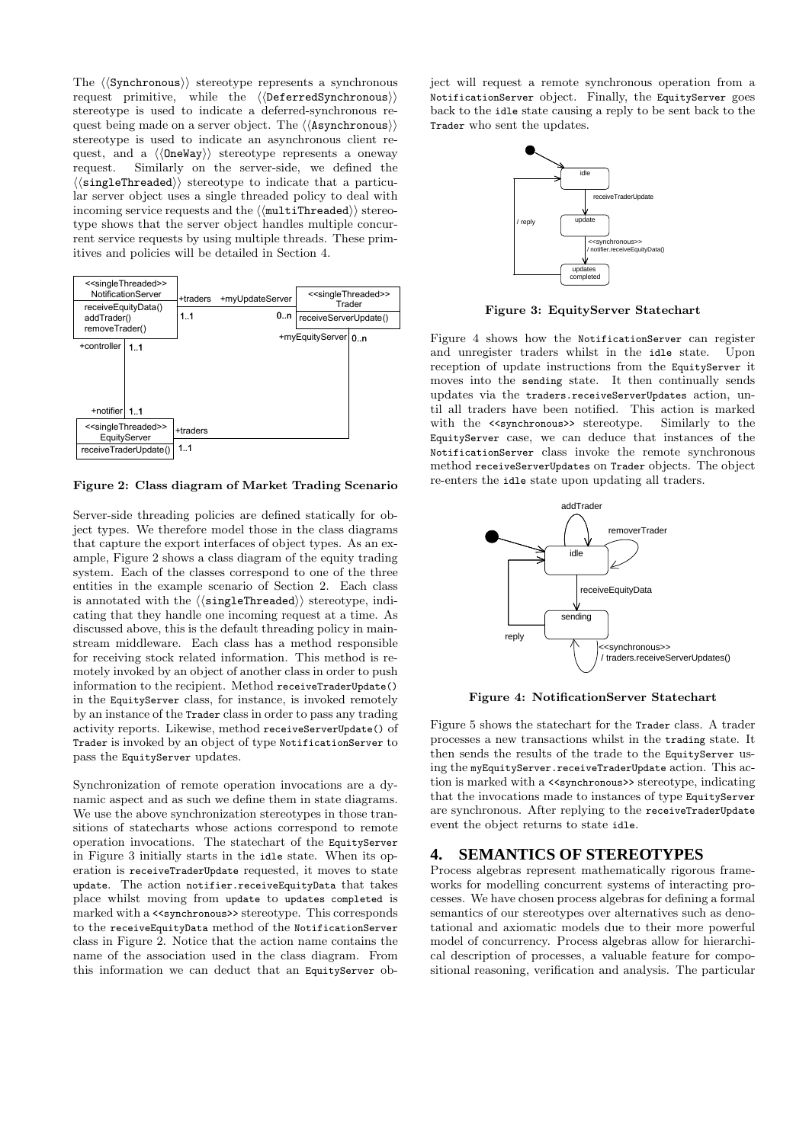The  $\langle$ Synchronous $\rangle$  stereotype represents a synchronous request primitive, while the  $\langle$ DeferredSynchronous $\rangle$ stereotype is used to indicate a deferred-synchronous request being made on a server object. The  $\langle$  (Asynchronous)) stereotype is used to indicate an asynchronous client request, and a  $\langle$ OneWay}} stereotype represents a oneway request. Similarly on the server-side, we defined the  $\langle$  (singleThreaded)) stereotype to indicate that a particular server object uses a single threaded policy to deal with incoming service requests and the  $\langle \langle \texttt{multiThreaded} \rangle \rangle$  stereotype shows that the server object handles multiple concurrent service requests by using multiple threads. These primitives and policies will be detailed in Section 4.



Figure 2: Class diagram of Market Trading Scenario

Server-side threading policies are defined statically for object types. We therefore model those in the class diagrams that capture the export interfaces of object types. As an example, Figure 2 shows a class diagram of the equity trading system. Each of the classes correspond to one of the three entities in the example scenario of Section 2. Each class is annotated with the  $\langle \langle \text{singleThreaded} \rangle \rangle$  stereotype, indicating that they handle one incoming request at a time. As discussed above, this is the default threading policy in mainstream middleware. Each class has a method responsible for receiving stock related information. This method is remotely invoked by an object of another class in order to push information to the recipient. Method receiveTraderUpdate() in the EquityServer class, for instance, is invoked remotely by an instance of the Trader class in order to pass any trading activity reports. Likewise, method receiveServerUpdate() of Trader is invoked by an object of type NotificationServer to pass the EquityServer updates.

Synchronization of remote operation invocations are a dynamic aspect and as such we define them in state diagrams. We use the above synchronization stereotypes in those transitions of statecharts whose actions correspond to remote operation invocations. The statechart of the EquityServer in Figure 3 initially starts in the idle state. When its operation is receiveTraderUpdate requested, it moves to state update. The action notifier.receiveEquityData that takes place whilst moving from update to updates completed is marked with a <<synchronous>> stereotype. This corresponds to the receiveEquityData method of the NotificationServer class in Figure 2. Notice that the action name contains the name of the association used in the class diagram. From this information we can deduct that an EquityServer object will request a remote synchronous operation from a NotificationServer object. Finally, the EquityServer goes back to the idle state causing a reply to be sent back to the Trader who sent the updates.



Figure 3: EquityServer Statechart

Figure 4 shows how the NotificationServer can register and unregister traders whilst in the idle state. Upon reception of update instructions from the EquityServer it moves into the sending state. It then continually sends updates via the traders.receiveServerUpdates action, until all traders have been notified. This action is marked with the  $\langle$ synchronous>> stereotype. Similarly to the EquityServer case, we can deduce that instances of the NotificationServer class invoke the remote synchronous method receiveServerUpdates on Trader objects. The object re-enters the idle state upon updating all traders.



Figure 4: NotificationServer Statechart

Figure 5 shows the statechart for the Trader class. A trader processes a new transactions whilst in the trading state. It then sends the results of the trade to the EquityServer using the myEquityServer.receiveTraderUpdate action. This action is marked with a <<synchronous>> stereotype, indicating that the invocations made to instances of type EquityServer are synchronous. After replying to the receiveTraderUpdate event the object returns to state idle.

## **4. SEMANTICS OF STEREOTYPES**

Process algebras represent mathematically rigorous frameworks for modelling concurrent systems of interacting processes. We have chosen process algebras for defining a formal semantics of our stereotypes over alternatives such as denotational and axiomatic models due to their more powerful model of concurrency. Process algebras allow for hierarchical description of processes, a valuable feature for compositional reasoning, verification and analysis. The particular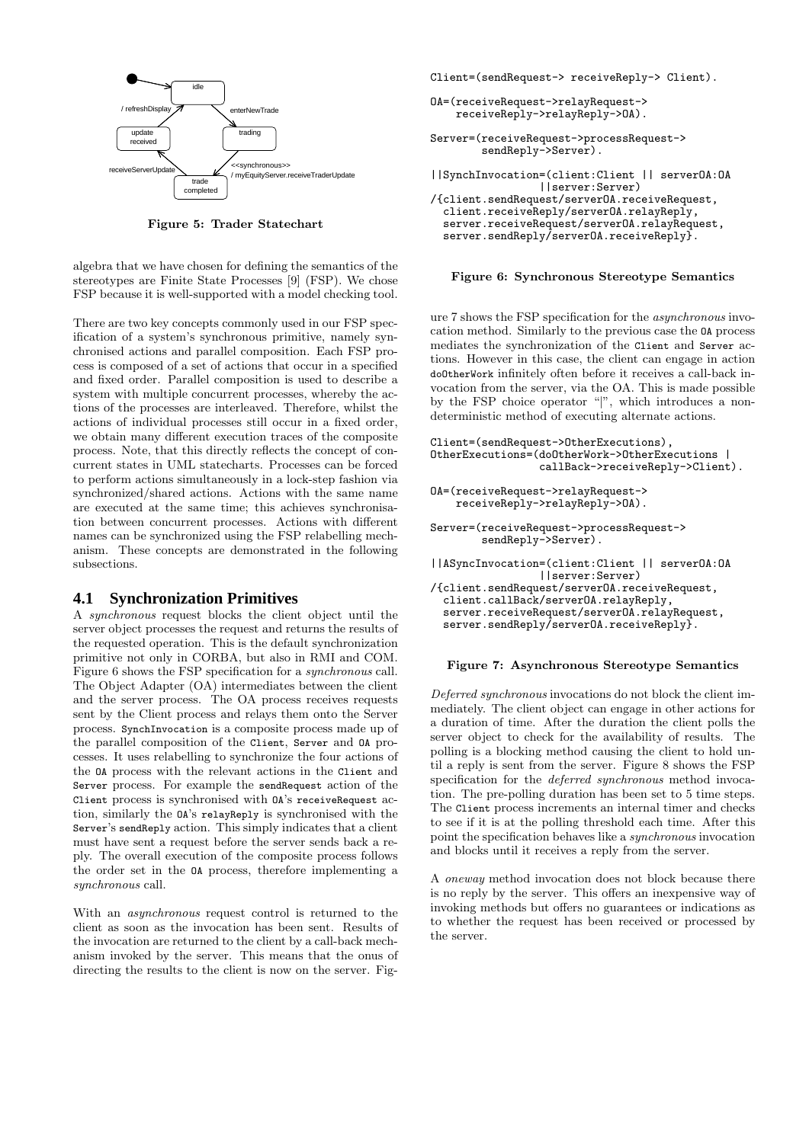

Figure 5: Trader Statechart

algebra that we have chosen for defining the semantics of the stereotypes are Finite State Processes [9] (FSP). We chose FSP because it is well-supported with a model checking tool.

There are two key concepts commonly used in our FSP specification of a system's synchronous primitive, namely synchronised actions and parallel composition. Each FSP process is composed of a set of actions that occur in a specified and fixed order. Parallel composition is used to describe a system with multiple concurrent processes, whereby the actions of the processes are interleaved. Therefore, whilst the actions of individual processes still occur in a fixed order, we obtain many different execution traces of the composite process. Note, that this directly reflects the concept of concurrent states in UML statecharts. Processes can be forced to perform actions simultaneously in a lock-step fashion via synchronized/shared actions. Actions with the same name are executed at the same time; this achieves synchronisation between concurrent processes. Actions with different names can be synchronized using the FSP relabelling mechanism. These concepts are demonstrated in the following subsections.

#### **4.1 Synchronization Primitives**

primitive not only in CORBA, but also in RMI and COM. A synchronous request blocks the client object until the server object processes the request and returns the results of the requested operation. This is the default synchronization Figure 6 shows the FSP specification for a synchronous call. The Object Adapter (OA) intermediates between the client and the server process. The OA process receives requests sent by the Client process and relays them onto the Server process. SynchInvocation is a composite process made up of the parallel composition of the Client, Server and OA processes. It uses relabelling to synchronize the four actions of the OA process with the relevant actions in the Client and Server process. For example the sendRequest action of the Client process is synchronised with OA's receiveRequest action, similarly the OA's relayReply is synchronised with the Server's sendReply action. This simply indicates that a client must have sent a request before the server sends back a reply. The overall execution of the composite process follows the order set in the OA process, therefore implementing a synchronous call.

With an asynchronous request control is returned to the client as soon as the invocation has been sent. Results of the invocation are returned to the client by a call-back mechanism invoked by the server. This means that the onus of directing the results to the client is now on the server. FigClient=(sendRequest-> receiveReply-> Client).

```
OA=(receiveRequest->relayRequest->
   receiveReply->relayReply->OA).
```

```
Server=(receiveRequest->processRequest->
        sendReply->Server).
```

```
||SynchInvocation=(client:Client || serverOA:OA
                 ||server:Server)
```

```
/{client.sendRequest/serverOA.receiveRequest,
 client.receiveReply/serverOA.relayReply,
 server.receiveRequest/serverOA.relayRequest,
 server.sendReply/serverOA.receiveReply}.
```
#### Figure 6: Synchronous Stereotype Semantics

ure 7 shows the FSP specification for the asynchronous invocation method. Similarly to the previous case the OA process mediates the synchronization of the Client and Server actions. However in this case, the client can engage in action doOtherWork infinitely often before it receives a call-back invocation from the server, via the OA. This is made possible by the FSP choice operator "|", which introduces a nondeterministic method of executing alternate actions.

```
Client=(sendRequest->OtherExecutions),
OtherExecutions=(doOtherWork->OtherExecutions |
                 callBack->receiveReply->Client).
OA=(receiveRequest->relayRequest->
    receiveReply->relayReply->OA).
Server=(receiveRequest->processRequest->
        sendReply->Server).
||ASyncInvocation=(client:Client || serverOA:OA
                 ||server:Server)
/{client.sendRequest/serverOA.receiveRequest,
  client.callBack/serverOA.relayReply,
  server.receiveRequest/serverOA.relayRequest,
  server.sendReply/serverOA.receiveReply}.
```
#### Figure 7: Asynchronous Stereotype Semantics

Deferred synchronous invocations do not block the client immediately. The client object can engage in other actions for a duration of time. After the duration the client polls the server object to check for the availability of results. The polling is a blocking method causing the client to hold until a reply is sent from the server. Figure 8 shows the FSP specification for the deferred synchronous method invocation. The pre-polling duration has been set to 5 time steps. The Client process increments an internal timer and checks to see if it is at the polling threshold each time. After this point the specification behaves like a synchronous invocation and blocks until it receives a reply from the server.

A oneway method invocation does not block because there is no reply by the server. This offers an inexpensive way of invoking methods but offers no guarantees or indications as to whether the request has been received or processed by the server.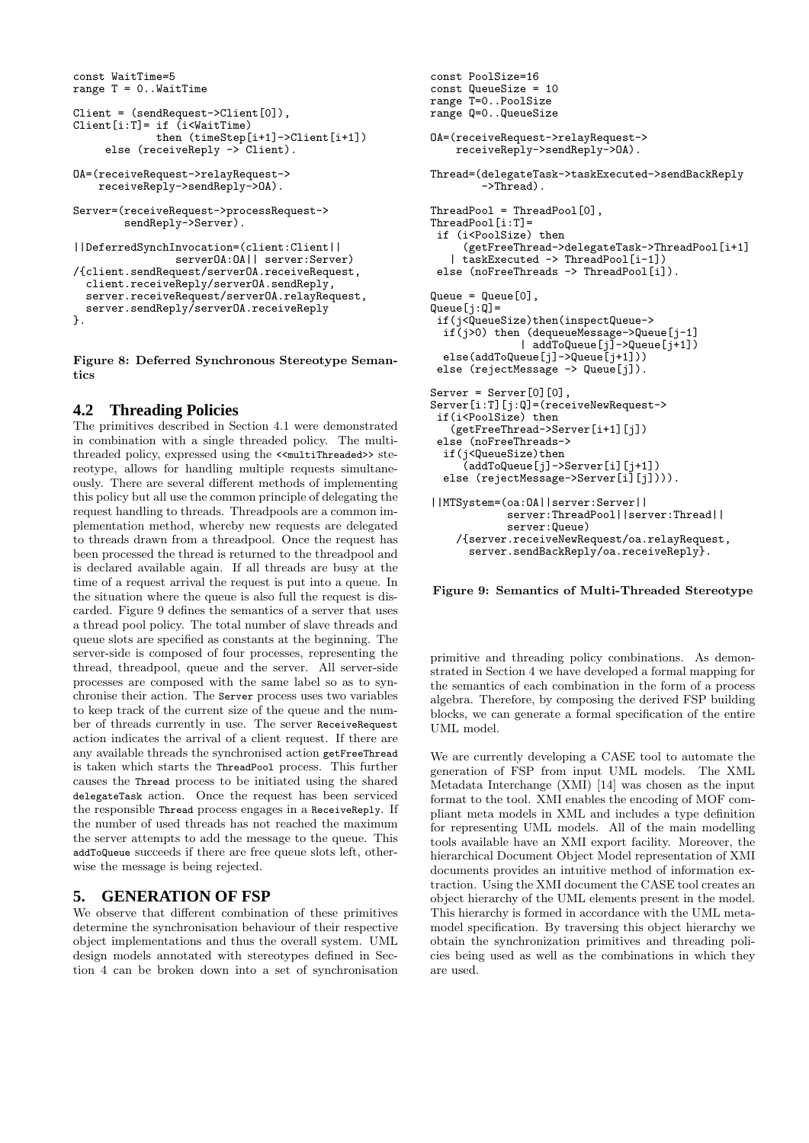```
const WaitTime=5
range T = 0..WaitTime
Client = (sendRequest->Client[0]),
Client[i:T]= if (i<WaitTime)
             then (timeStep[i+1]->Client[i+1])
     else (receiveReply -> Client).
OA=(receiveRequest->relayRequest->
   receiveReply->sendReply->OA).
Server=(receiveRequest->processRequest->
        sendReply->Server).
||DeferredSynchInvocation=(client:Client||
                serverOA:OA|| server:Server)
/{client.sendRequest/serverOA.receiveRequest,
  client.receiveReply/serverOA.sendReply,
  server.receiveRequest/serverOA.relayRequest,
```
Figure 8: Deferred Synchronous Stereotype Semantics

server.sendReply/serverOA.receiveReply

## **4.2 Threading Policies**

}.

The primitives described in Section 4.1 were demonstrated in combination with a single threaded policy. The multithreaded policy, expressed using the <<multiThreaded>> stereotype, allows for handling multiple requests simultaneously. There are several different methods of implementing this policy but all use the common principle of delegating the request handling to threads. Threadpools are a common implementation method, whereby new requests are delegated to threads drawn from a threadpool. Once the request has been processed the thread is returned to the threadpool and is declared available again. If all threads are busy at the time of a request arrival the request is put into a queue. In the situation where the queue is also full the request is discarded. Figure 9 defines the semantics of a server that uses a thread pool policy. The total number of slave threads and queue slots are specified as constants at the beginning. The server-side is composed of four processes, representing the thread, threadpool, queue and the server. All server-side processes are composed with the same label so as to synchronise their action. The Server process uses two variables to keep track of the current size of the queue and the number of threads currently in use. The server ReceiveRequest action indicates the arrival of a client request. If there are any available threads the synchronised action getFreeThread is taken which starts the ThreadPool process. This further causes the Thread process to be initiated using the shared delegateTask action. Once the request has been serviced the responsible Thread process engages in a ReceiveReply. If the number of used threads has not reached the maximum the server attempts to add the message to the queue. This addToQueue succeeds if there are free queue slots left, otherwise the message is being rejected.

## **5. GENERATION OF FSP**

We observe that different combination of these primitives determine the synchronisation behaviour of their respective object implementations and thus the overall system. UML design models annotated with stereotypes defined in Section 4 can be broken down into a set of synchronisation

```
const PoolSize=16
const QueueSize = 10
range T=0..PoolSize
range Q=0..QueueSize
OA=(receiveRequest->relayRequest->
    receiveReply->sendReply->OA).
Thread=(delegateTask->taskExecuted->sendBackReply
        ->Thread).
ThreadPool = ThreadPool[0],
ThreadPool[i:T]=
 if (i<PoolSize) then
     (getFreeThread->delegateTask->ThreadPool[i+1]
   | taskExecuted -> ThreadPool[i-1])
 else (noFreeThreads -> ThreadPool[i]).
Queue = Queue[0],
Queue[i:Q] =if(j<QueueSize)then(inspectQueue->
  if(j>0) then (dequeueMessage->Queue[j-1]
              | addToQueue[j]->Queue[j+1])
  else(addToQueue[j]->Queue[j+1]))
 else (rejectMessage -> Queue[j]).
Server = Server[0][0],Server[i:T][j:Q]=(receiveNewRequest->
 if(i<PoolSize) then
   (getFreeThread->Server[i+1][j])
 else (noFreeThreads->
  if(j<QueueSize)then
     (addToQueue[j]->Server[i][j+1])
  else (rejectMessage->Server[i][j]))).
||MTSystem=(oa:OA||server:Server||
            server:ThreadPool||server:Thread||
            server:Queue)
    /{server.receiveNewRequest/oa.relayRequest,
      server.sendBackReply/oa.receiveReply}.
```
Figure 9: Semantics of Multi-Threaded Stereotype

primitive and threading policy combinations. As demonstrated in Section 4 we have developed a formal mapping for the semantics of each combination in the form of a process algebra. Therefore, by composing the derived FSP building blocks, we can generate a formal specification of the entire UML model.

We are currently developing a CASE tool to automate the generation of FSP from input UML models. The XML Metadata Interchange (XMI) [14] was chosen as the input format to the tool. XMI enables the encoding of MOF compliant meta models in XML and includes a type definition for representing UML models. All of the main modelling tools available have an XMI export facility. Moreover, the hierarchical Document Object Model representation of XMI documents provides an intuitive method of information extraction. Using the XMI document the CASE tool creates an object hierarchy of the UML elements present in the model. This hierarchy is formed in accordance with the UML metamodel specification. By traversing this object hierarchy we obtain the synchronization primitives and threading policies being used as well as the combinations in which they are used.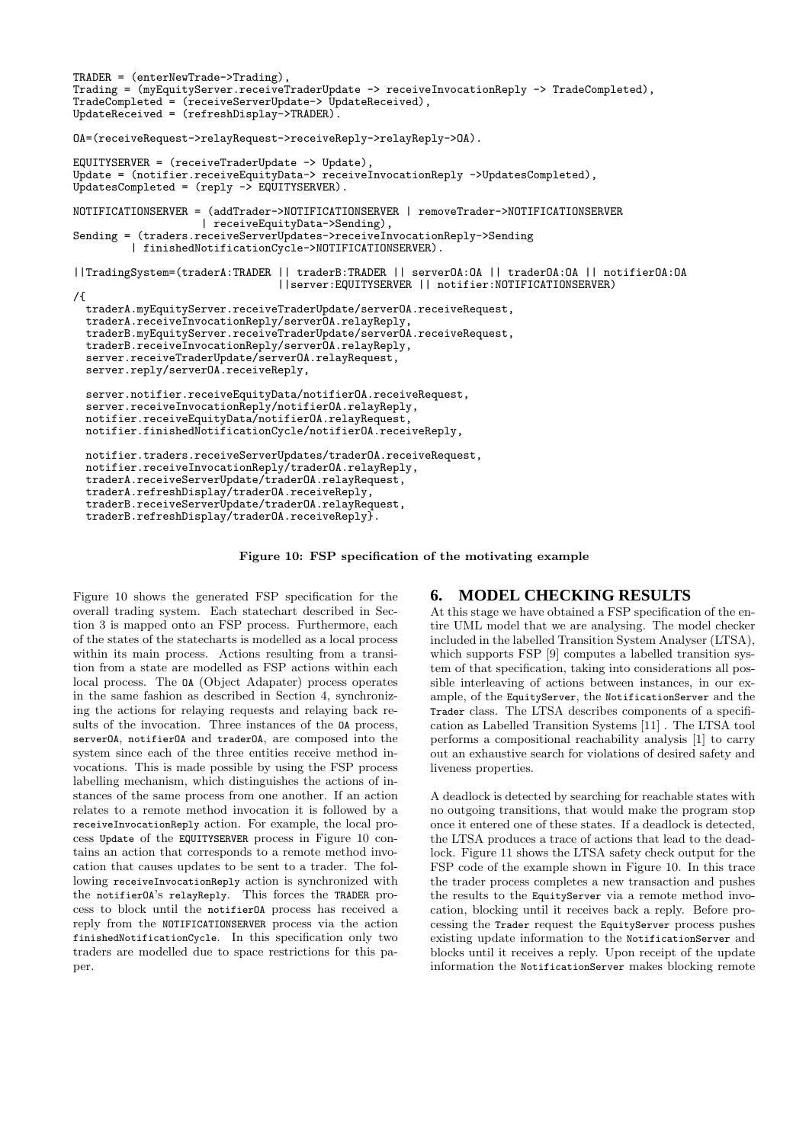```
TRADER = (enterNewTrade->Trading),
Trading = (myEquityServer.receiveTraderUpdate -> receiveInvocationReply -> TradeCompleted),
TradeCompleted = (receiveServerUpdate-> UpdateReceived),
UpdateReceived = (refreshDisplay->TRADER).
OA=(receiveRequest->relayRequest->receiveReply->relayReply->OA).
EQUITYSERVER = (receiveTraderUpdate -> Update),
Update = (notifier.receiveEquityData-> receiveInvocationReply ->UpdatesCompleted),
UpdatesCompleted = (reply -> EQUITYSERVER).
NOTIFICATIONSERVER = (addTrader->NOTIFICATIONSERVER | removeTrader->NOTIFICATIONSERVER
                    | receiveEquityData->Sending),
Sending = (traders.receiveServerUpdates->receiveInvocationReply->Sending
         | finishedNotificationCycle->NOTIFICATIONSERVER).
||TradingSystem=(traderA:TRADER || traderB:TRADER || serverOA:OA || traderOA:OA || notifierOA:OA
                                ||server:EQUITYSERVER || notifier:NOTIFICATIONSERVER)
/{
 traderA.myEquityServer.receiveTraderUpdate/serverOA.receiveRequest,
  traderA.receiveInvocationReply/serverOA.relayReply,
  traderB.myEquityServer.receiveTraderUpdate/serverOA.receiveRequest,
  traderB.receiveInvocationReply/serverOA.relayReply,
  server.receiveTraderUpdate/serverOA.relayRequest,
 server.reply/serverOA.receiveReply,
  server.notifier.receiveEquityData/notifierOA.receiveRequest,
  server.receiveInvocationReply/notifierOA.relayReply,
 notifier.receiveEquityData/notifierOA.relayRequest,
 notifier.finishedNotificationCycle/notifierOA.receiveReply,
 notifier.traders.receiveServerUpdates/traderOA.receiveRequest,
 notifier.receiveInvocationReply/traderOA.relayReply,
  traderA.receiveServerUpdate/traderOA.relayRequest,
  traderA.refreshDisplay/traderOA.receiveReply,
  traderB.receiveServerUpdate/traderOA.relayRequest,
  traderB.refreshDisplay/traderOA.receiveReply}.
```
Figure 10: FSP specification of the motivating example

Figure 10 shows the generated FSP specification for the overall trading system. Each statechart described in Section 3 is mapped onto an FSP process. Furthermore, each of the states of the statecharts is modelled as a local process within its main process. Actions resulting from a transition from a state are modelled as FSP actions within each local process. The OA (Object Adapater) process operates in the same fashion as described in Section 4, synchronizing the actions for relaying requests and relaying back results of the invocation. Three instances of the OA process, serverOA, notifierOA and traderOA, are composed into the system since each of the three entities receive method invocations. This is made possible by using the FSP process labelling mechanism, which distinguishes the actions of instances of the same process from one another. If an action relates to a remote method invocation it is followed by a receiveInvocationReply action. For example, the local process Update of the EQUITYSERVER process in Figure 10 contains an action that corresponds to a remote method invocation that causes updates to be sent to a trader. The following receiveInvocationReply action is synchronized with the notifierOA's relayReply. This forces the TRADER process to block until the notifierOA process has received a reply from the NOTIFICATIONSERVER process via the action finishedNotificationCycle. In this specification only two traders are modelled due to space restrictions for this paper.

## **6. MODEL CHECKING RESULTS**

At this stage we have obtained a FSP specification of the entire UML model that we are analysing. The model checker included in the labelled Transition System Analyser (LTSA), which supports FSP [9] computes a labelled transition system of that specification, taking into considerations all possible interleaving of actions between instances, in our example, of the EquityServer, the NotificationServer and the Trader class. The LTSA describes components of a specification as Labelled Transition Systems [11] . The LTSA tool performs a compositional reachability analysis [1] to carry out an exhaustive search for violations of desired safety and liveness properties.

A deadlock is detected by searching for reachable states with no outgoing transitions, that would make the program stop once it entered one of these states. If a deadlock is detected, the LTSA produces a trace of actions that lead to the deadlock. Figure 11 shows the LTSA safety check output for the FSP code of the example shown in Figure 10. In this trace the trader process completes a new transaction and pushes the results to the EquityServer via a remote method invocation, blocking until it receives back a reply. Before processing the Trader request the EquityServer process pushes existing update information to the NotificationServer and blocks until it receives a reply. Upon receipt of the update information the NotificationServer makes blocking remote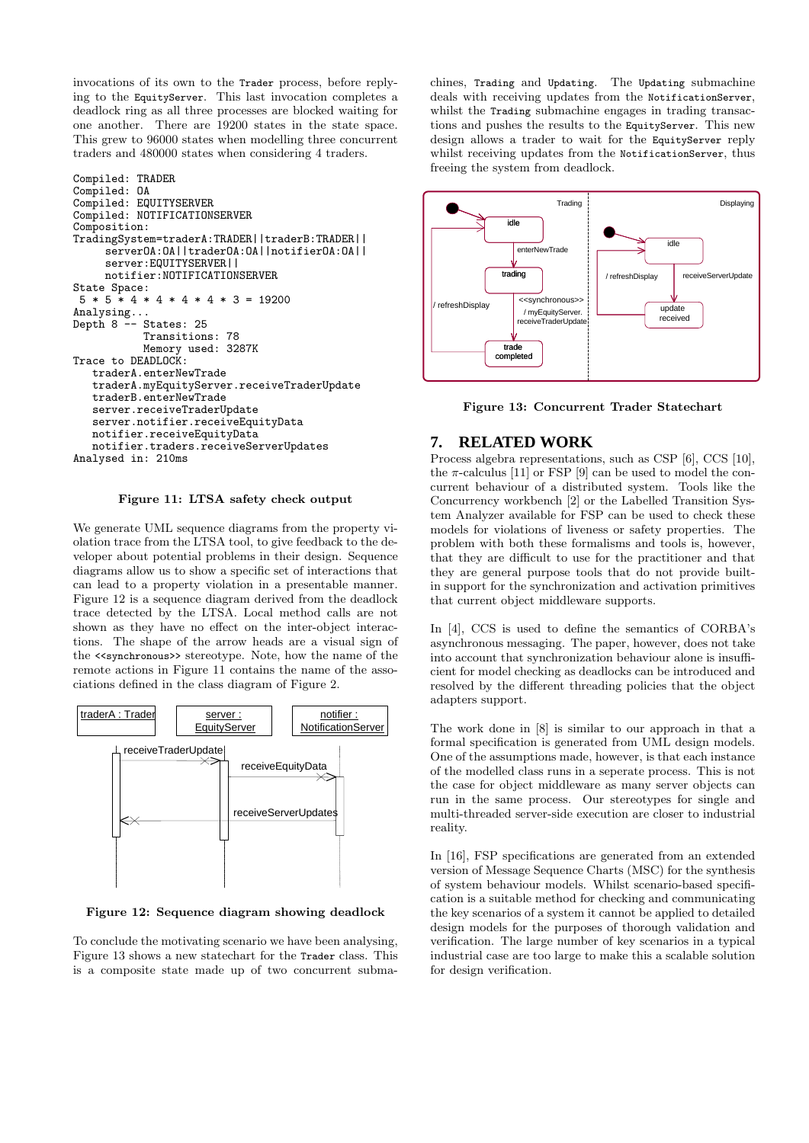invocations of its own to the Trader process, before replying to the EquityServer. This last invocation completes a deadlock ring as all three processes are blocked waiting for one another. There are 19200 states in the state space. This grew to 96000 states when modelling three concurrent traders and 480000 states when considering 4 traders.

```
Compiled: TRADER
Compiled: OA
Compiled: EQUITYSERVER
Compiled: NOTIFICATIONSERVER
Composition:
TradingSystem=traderA:TRADER||traderB:TRADER||
     serverOA:OA||traderOA:OA||notifierOA:OA||
     server:EQUITYSERVER||
     notifier:NOTIFICATIONSERVER
State Space:
5 * 5 * 4 * 4 * 4 * 4 * 3 = 19200Analysing...
Depth 8 -- States: 25
           Transitions: 78
           Memory used: 3287K
Trace to DEADLOCK:
   traderA.enterNewTrade
   traderA.myEquityServer.receiveTraderUpdate
   traderB.enterNewTrade
   server.receiveTraderUpdate
   server.notifier.receiveEquityData
   notifier.receiveEquityData
  notifier.traders.receiveServerUpdates
Analysed in: 210ms
```
#### Figure 11: LTSA safety check output

We generate UML sequence diagrams from the property violation trace from the LTSA tool, to give feedback to the developer about potential problems in their design. Sequence diagrams allow us to show a specific set of interactions that can lead to a property violation in a presentable manner. Figure 12 is a sequence diagram derived from the deadlock trace detected by the LTSA. Local method calls are not shown as they have no effect on the inter-object interactions. The shape of the arrow heads are a visual sign of the  $\langle$ synchronous>> stereotype. Note, how the name of the remote actions in Figure 11 contains the name of the associations defined in the class diagram of Figure 2.



Figure 12: Sequence diagram showing deadlock

To conclude the motivating scenario we have been analysing, Figure 13 shows a new statechart for the Trader class. This is a composite state made up of two concurrent subma-

chines, Trading and Updating. The Updating submachine deals with receiving updates from the NotificationServer, whilst the Trading submachine engages in trading transactions and pushes the results to the EquityServer. This new design allows a trader to wait for the EquityServer reply whilst receiving updates from the NotificationServer, thus freeing the system from deadlock.



Figure 13: Concurrent Trader Statechart

# **7. RELATED WORK**

Process algebra representations, such as CSP [6], CCS [10], the  $\pi$ -calculus [11] or FSP [9] can be used to model the concurrent behaviour of a distributed system. Tools like the Concurrency workbench [2] or the Labelled Transition System Analyzer available for FSP can be used to check these models for violations of liveness or safety properties. The problem with both these formalisms and tools is, however, that they are difficult to use for the practitioner and that they are general purpose tools that do not provide builtin support for the synchronization and activation primitives that current object middleware supports.

In [4], CCS is used to define the semantics of CORBA's asynchronous messaging. The paper, however, does not take into account that synchronization behaviour alone is insufficient for model checking as deadlocks can be introduced and resolved by the different threading policies that the object adapters support.

The work done in [8] is similar to our approach in that a formal specification is generated from UML design models. One of the assumptions made, however, is that each instance of the modelled class runs in a seperate process. This is not the case for object middleware as many server objects can run in the same process. Our stereotypes for single and multi-threaded server-side execution are closer to industrial reality.

In [16], FSP specifications are generated from an extended version of Message Sequence Charts (MSC) for the synthesis of system behaviour models. Whilst scenario-based specification is a suitable method for checking and communicating the key scenarios of a system it cannot be applied to detailed design models for the purposes of thorough validation and verification. The large number of key scenarios in a typical industrial case are too large to make this a scalable solution for design verification.